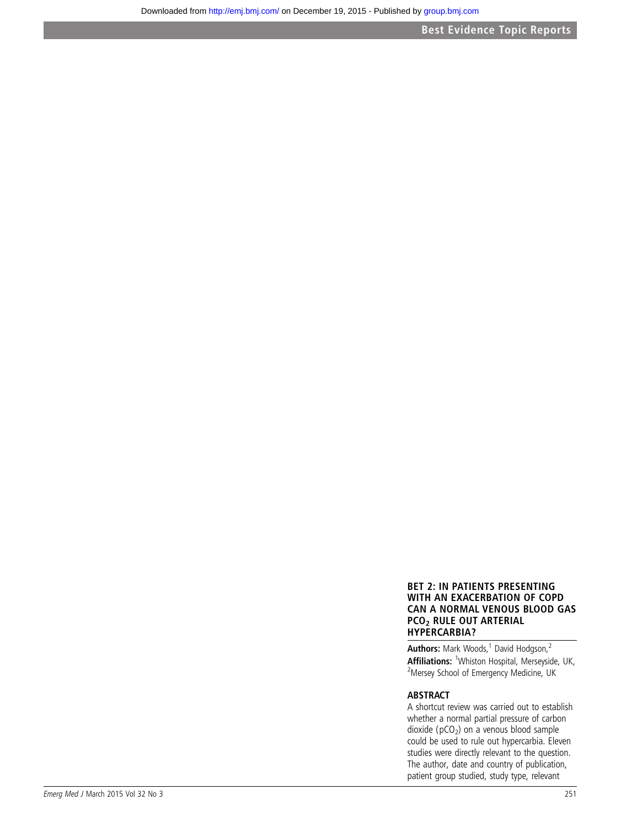# BET 2: IN PATIENTS PRESENTING WITH AN EXACERBATION OF COPD CAN A NORMAL VENOUS BLOOD GAS PCO2 RULE OUT ARTERIAL HYPERCARBIA?

Authors: Mark Woods,<sup>1</sup> David Hodgson,<sup>2</sup> **Affiliations:** <sup>1</sup> Whiston Hospital, Merseyside, UK,<br><sup>2</sup> Mersey School of Emergency Medicine, UK Mersey School of Emergency Medicine, UK

# ABSTRACT

A shortcut review was carried out to establish whether a normal partial pressure of carbon dioxide ( $pCO<sub>2</sub>$ ) on a venous blood sample could be used to rule out hypercarbia. Eleven studies were directly relevant to the question. The author, date and country of publication, patient group studied, study type, relevant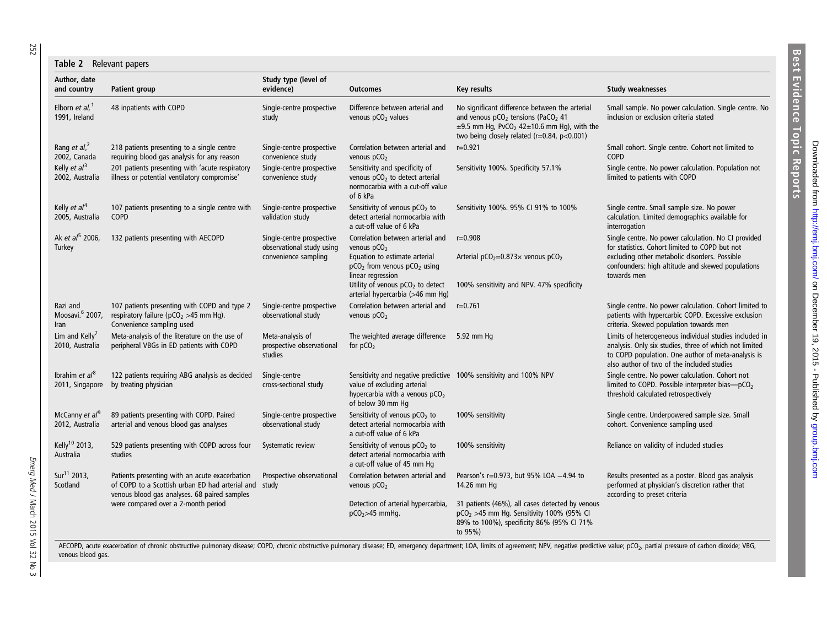<span id="page-1-0"></span>252

#### Table 2 Relevant papers

| Author, date<br>and country                     | <b>Patient group</b>                                                                                                                                                                           | Study type (level of<br>evidence)                                              | <b>Outcomes</b>                                                                                                                                                     | Key results                                                                                                                                                                                                                             | <b>Study weaknesses</b>                                                                                                                                                                                                    |
|-------------------------------------------------|------------------------------------------------------------------------------------------------------------------------------------------------------------------------------------------------|--------------------------------------------------------------------------------|---------------------------------------------------------------------------------------------------------------------------------------------------------------------|-----------------------------------------------------------------------------------------------------------------------------------------------------------------------------------------------------------------------------------------|----------------------------------------------------------------------------------------------------------------------------------------------------------------------------------------------------------------------------|
| Elborn et al, $1$<br>1991, Ireland              | 48 inpatients with COPD                                                                                                                                                                        | Single-centre prospective<br>study                                             | Difference between arterial and<br>venous pCO <sub>2</sub> values                                                                                                   | No significant difference between the arterial<br>and venous pCO <sub>2</sub> tensions (PaCO <sub>2</sub> 41<br>$\pm$ 9.5 mm Hg, PvCO <sub>2</sub> 42 $\pm$ 10.6 mm Hg), with the<br>two being closely related ( $r=0.84$ , $p<0.001$ ) | Small sample. No power calculation. Single centre. No<br>inclusion or exclusion criteria stated                                                                                                                            |
| Rang et al, <sup>2</sup><br>2002, Canada        | 218 patients presenting to a single centre<br>requiring blood gas analysis for any reason                                                                                                      | Single-centre prospective<br>convenience study                                 | Correlation between arterial and<br>venous $pCO2$                                                                                                                   | $r = 0.921$                                                                                                                                                                                                                             | Small cohort. Single centre. Cohort not limited to<br><b>COPD</b>                                                                                                                                                          |
| Kelly et $al^3$<br>2002, Australia              | 201 patients presenting with 'acute respiratory<br>illness or potential ventilatory compromise'                                                                                                | Single-centre prospective<br>convenience study                                 | Sensitivity and specificity of<br>venous pCO <sub>2</sub> to detect arterial<br>normocarbia with a cut-off value<br>of 6 kPa                                        | Sensitivity 100%. Specificity 57.1%                                                                                                                                                                                                     | Single centre. No power calculation. Population not<br>limited to patients with COPD                                                                                                                                       |
| Kelly <i>et</i> $al^4$<br>2005, Australia       | 107 patients presenting to a single centre with<br>COPD                                                                                                                                        | Single-centre prospective<br>validation study                                  | Sensitivity of venous pCO <sub>2</sub> to<br>detect arterial normocarbia with<br>a cut-off value of 6 kPa                                                           | Sensitivity 100%. 95% CI 91% to 100%                                                                                                                                                                                                    | Single centre. Small sample size. No power<br>calculation. Limited demographics available for<br>interrogation                                                                                                             |
| Ak et al <sup>5</sup> 2006,<br>Turkey           | 132 patients presenting with AECOPD                                                                                                                                                            | Single-centre prospective<br>observational study using<br>convenience sampling | Correlation between arterial and<br>venous $pCO2$<br>Equation to estimate arterial<br>$pCO2$ from venous $pCO2$ using<br>linear regression                          | $r = 0.908$<br>Arterial $pCO_2=0.873\times$ venous $pCO_2$                                                                                                                                                                              | Single centre. No power calculation. No CI provided<br>for statistics. Cohort limited to COPD but not<br>excluding other metabolic disorders. Possible<br>confounders: high altitude and skewed populations<br>towards men |
|                                                 |                                                                                                                                                                                                |                                                                                | Utility of venous pCO <sub>2</sub> to detect<br>arterial hypercarbia (>46 mm Hq)                                                                                    | 100% sensitivity and NPV. 47% specificity                                                                                                                                                                                               |                                                                                                                                                                                                                            |
| Razi and<br>Moosavi. <sup>6</sup> 2007,<br>Iran | 107 patients presenting with COPD and type 2<br>respiratory failure ( $pCO2 > 45$ mm Hg).<br>Convenience sampling used                                                                         | Single-centre prospective<br>observational study                               | Correlation between arterial and<br>venous $pCO2$                                                                                                                   | $r = 0.761$                                                                                                                                                                                                                             | Single centre. No power calculation. Cohort limited to<br>patients with hypercarbic COPD. Excessive exclusion<br>criteria. Skewed population towards men                                                                   |
| Lim and Kelly'<br>2010, Australia               | Meta-analysis of the literature on the use of<br>peripheral VBGs in ED patients with COPD                                                                                                      | Meta-analysis of<br>prospective observational<br>studies                       | The weighted average difference 5.92 mm Hg<br>for $pCO2$                                                                                                            |                                                                                                                                                                                                                                         | Limits of heterogeneous individual studies included in<br>analysis. Only six studies, three of which not limited<br>to COPD population. One author of meta-analysis is<br>also author of two of the included studies       |
| Ibrahim et $al^8$<br>2011, Singapore            | 122 patients requiring ABG analysis as decided<br>by treating physician                                                                                                                        | Single-centre<br>cross-sectional study                                         | Sensitivity and negative predictive 100% sensitivity and 100% NPV<br>value of excluding arterial<br>hypercarbia with a venous pCO <sub>2</sub><br>of below 30 mm Hq |                                                                                                                                                                                                                                         | Single centre. No power calculation. Cohort not<br>limited to COPD. Possible interpreter bias-pCO <sub>2</sub><br>threshold calculated retrospectively                                                                     |
| McCanny et al <sup>9</sup><br>2012, Australia   | 89 patients presenting with COPD. Paired<br>arterial and venous blood gas analyses                                                                                                             | Single-centre prospective<br>observational study                               | Sensitivity of venous $pCO2$ to<br>detect arterial normocarbia with<br>a cut-off value of 6 kPa                                                                     | 100% sensitivity                                                                                                                                                                                                                        | Single centre. Underpowered sample size. Small<br>cohort. Convenience sampling used                                                                                                                                        |
| Kelly <sup>10</sup> 2013,<br>Australia          | 529 patients presenting with COPD across four<br>studies                                                                                                                                       | Systematic review                                                              | Sensitivity of venous $pCO2$ to<br>detect arterial normocarbia with<br>a cut-off value of 45 mm Hq                                                                  | 100% sensitivity                                                                                                                                                                                                                        | Reliance on validity of included studies                                                                                                                                                                                   |
| Sur <sup>11</sup> 2013,<br>Scotland             | Patients presenting with an acute exacerbation<br>of COPD to a Scottish urban ED had arterial and study<br>venous blood gas analyses. 68 paired samples<br>were compared over a 2-month period | Prospective observational                                                      | Correlation between arterial and<br>venous $pCO2$                                                                                                                   | Pearson's r=0.973, but 95% LOA -4.94 to<br>14.26 mm Hg                                                                                                                                                                                  | Results presented as a poster. Blood gas analysis<br>performed at physician's discretion rather that<br>according to preset criteria                                                                                       |
|                                                 |                                                                                                                                                                                                |                                                                                | Detection of arterial hypercarbia,<br>$pCO2$ >45 mmHq.                                                                                                              | 31 patients (46%), all cases detected by venous<br>$pCO2 > 45$ mm Hq. Sensitivity 100% (95% CI<br>89% to 100%), specificity 86% (95% CI 71%<br>to 95%)                                                                                  |                                                                                                                                                                                                                            |

AECOPD, acute exacerbation of chronic obstructive pulmonary disease; COPD, chronic obstructive pulmonary disease; ED, emergency department; LOA, limits of agreement; NPV, negative predictive value; pCO<sub>2</sub>, partial pressure venous blood gas.

Downloaded from http://emj.bmj.com/ on December 19, 2015 - Published by group.bmj.com Downloaded from http://emj.bmj.com/ on December 19, 2015 - Published by [group.bmj.com](http://group.bmj.com)

Best Evidence Topic Reports

**Best Evidence Topic Reports**